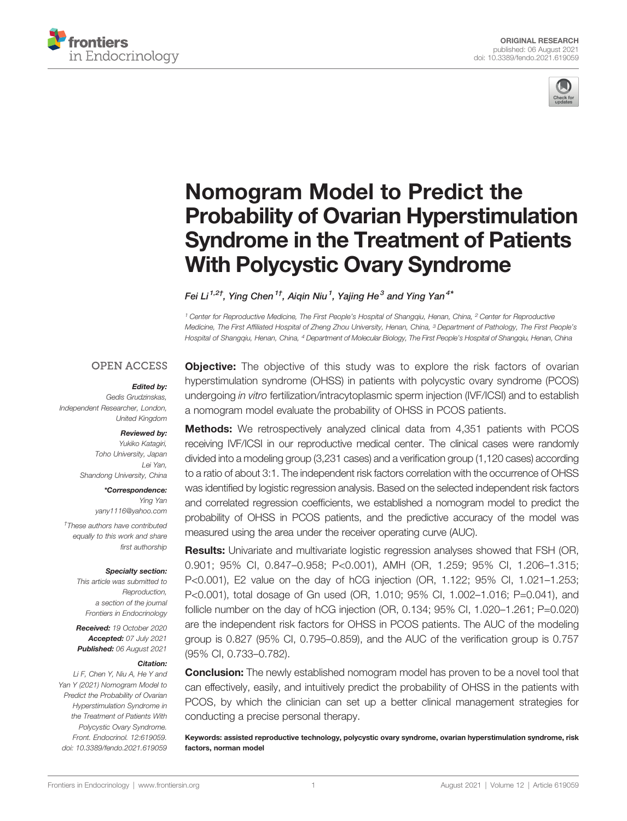



# [Nomogram Model to Predict the](https://www.frontiersin.org/articles/10.3389/fendo.2021.619059/full) [Probability of Ovarian Hyperstimulation](https://www.frontiersin.org/articles/10.3389/fendo.2021.619059/full) [Syndrome in the Treatment of Patients](https://www.frontiersin.org/articles/10.3389/fendo.2021.619059/full) [With Polycystic Ovary Syndrome](https://www.frontiersin.org/articles/10.3389/fendo.2021.619059/full)

Fei Li $^{\rm 1, 27},$  Ying Chen $^{\rm 17},$  Aiqin Niu $^{\rm 1},$  Yajing He $^{\rm 3}$  and Ying Yan $^{\rm 4*}$ 

<sup>1</sup> Center for Reproductive Medicine, The First People's Hospital of Shangqiu, Henan, China, <sup>2</sup> Center for Reproductive Medicine, The First Affiliated Hospital of Zheng Zhou University, Henan, China, <sup>3</sup> Department of Pathology, The First People's Hospital of Shangqiu, Henan, China, <sup>4</sup> Department of Molecular Biology, The First People's Hospital of Shangqiu, Henan, China

## **OPEN ACCESS**

#### Edited by:

Gedis Grudzinskas, Independent Researcher, London, United Kingdom

#### Reviewed by:

Yukiko Katagiri, Toho University, Japan Lei Yan, Shandong University, China

### \*Correspondence: Ying Yan

[yany1116@yahoo.com](mailto:yany1116@yahoo.com)

† These authors have contributed equally to this work and share first authorship

#### Specialty section:

This article was submitted to Reproduction, a section of the journal Frontiers in Endocrinology

Received: 19 October 2020 Accepted: 07 July 2021 Published: 06 August 2021

#### Citation:

Li F, Chen Y, Niu A, He Y and Yan Y (2021) Nomogram Model to Predict the Probability of Ovarian Hyperstimulation Syndrome in the Treatment of Patients With Polycystic Ovary Syndrome. Front. Endocrinol. 12:619059. [doi: 10.3389/fendo.2021.619059](https://doi.org/10.3389/fendo.2021.619059)

**Objective:** The objective of this study was to explore the risk factors of ovarian hyperstimulation syndrome (OHSS) in patients with polycystic ovary syndrome (PCOS) undergoing in vitro fertilization/intracytoplasmic sperm injection (IVF/ICSI) and to establish a nomogram model evaluate the probability of OHSS in PCOS patients.

**Methods:** We retrospectively analyzed clinical data from 4,351 patients with PCOS receiving IVF/ICSI in our reproductive medical center. The clinical cases were randomly divided into a modeling group (3,231 cases) and a verification group (1,120 cases) according to a ratio of about 3:1. The independent risk factors correlation with the occurrence of OHSS was identified by logistic regression analysis. Based on the selected independent risk factors and correlated regression coefficients, we established a nomogram model to predict the probability of OHSS in PCOS patients, and the predictive accuracy of the model was measured using the area under the receiver operating curve (AUC).

Results: Univariate and multivariate logistic regression analyses showed that FSH (OR, 0.901; 95% CI, 0.847–0.958; P<0.001), AMH (OR, 1.259; 95% CI, 1.206–1.315; P<0.001), E2 value on the day of hCG injection (OR, 1.122; 95% CI, 1.021–1.253; P<0.001), total dosage of Gn used (OR, 1.010; 95% CI, 1.002–1.016; P=0.041), and follicle number on the day of hCG injection (OR, 0.134; 95% CI, 1.020–1.261; P=0.020) are the independent risk factors for OHSS in PCOS patients. The AUC of the modeling group is 0.827 (95% CI, 0.795–0.859), and the AUC of the verification group is 0.757 (95% CI, 0.733–0.782).

**Conclusion:** The newly established nomogram model has proven to be a novel tool that can effectively, easily, and intuitively predict the probability of OHSS in the patients with PCOS, by which the clinician can set up a better clinical management strategies for conducting a precise personal therapy.

Keywords: assisted reproductive technology, polycystic ovary syndrome, ovarian hyperstimulation syndrome, risk factors, norman model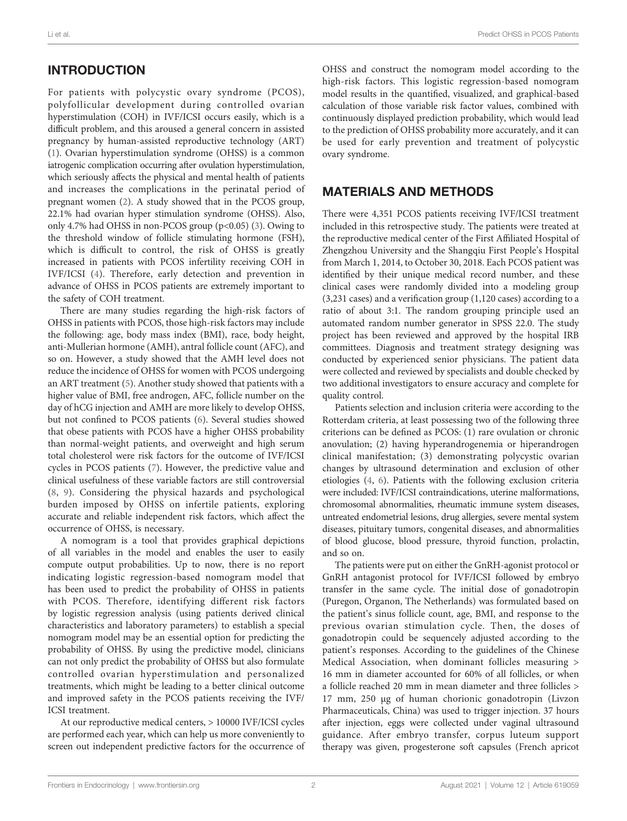# INTRODUCTION

For patients with polycystic ovary syndrome (PCOS), polyfollicular development during controlled ovarian hyperstimulation (COH) in IVF/ICSI occurs easily, which is a difficult problem, and this aroused a general concern in assisted pregnancy by human-assisted reproductive technology (ART) ([1](#page-6-0)). Ovarian hyperstimulation syndrome (OHSS) is a common iatrogenic complication occurring after ovulation hyperstimulation, which seriously affects the physical and mental health of patients and increases the complications in the perinatal period of pregnant women ([2](#page-6-0)). A study showed that in the PCOS group, 22.1% had ovarian hyper stimulation syndrome (OHSS). Also, only 4.7% had OHSS in non-PCOS group (p<0.05) ([3](#page-6-0)). Owing to the threshold window of follicle stimulating hormone (FSH), which is difficult to control, the risk of OHSS is greatly increased in patients with PCOS infertility receiving COH in IVF/ICSI [\(4](#page-6-0)). Therefore, early detection and prevention in advance of OHSS in PCOS patients are extremely important to the safety of COH treatment.

There are many studies regarding the high-risk factors of OHSS in patients with PCOS, those high-risk factors may include the following: age, body mass index (BMI), race, body height, anti-Mullerian hormone (AMH), antral follicle count (AFC), and so on. However, a study showed that the AMH level does not reduce the incidence of OHSS for women with PCOS undergoing an ART treatment ([5](#page-6-0)). Another study showed that patients with a higher value of BMI, free androgen, AFC, follicle number on the day of hCG injection and AMH are more likely to develop OHSS, but not confined to PCOS patients ([6](#page-7-0)). Several studies showed that obese patients with PCOS have a higher OHSS probability than normal-weight patients, and overweight and high serum total cholesterol were risk factors for the outcome of IVF/ICSI cycles in PCOS patients ([7](#page-7-0)). However, the predictive value and clinical usefulness of these variable factors are still controversial ([8](#page-7-0), [9](#page-7-0)). Considering the physical hazards and psychological burden imposed by OHSS on infertile patients, exploring accurate and reliable independent risk factors, which affect the occurrence of OHSS, is necessary.

A nomogram is a tool that provides graphical depictions of all variables in the model and enables the user to easily compute output probabilities. Up to now, there is no report indicating logistic regression-based nomogram model that has been used to predict the probability of OHSS in patients with PCOS. Therefore, identifying different risk factors by logistic regression analysis (using patients derived clinical characteristics and laboratory parameters) to establish a special nomogram model may be an essential option for predicting the probability of OHSS. By using the predictive model, clinicians can not only predict the probability of OHSS but also formulate controlled ovarian hyperstimulation and personalized treatments, which might be leading to a better clinical outcome and improved safety in the PCOS patients receiving the IVF/ ICSI treatment.

At our reproductive medical centers, > 10000 IVF/ICSI cycles are performed each year, which can help us more conveniently to screen out independent predictive factors for the occurrence of

OHSS and construct the nomogram model according to the high-risk factors. This logistic regression-based nomogram model results in the quantified, visualized, and graphical-based calculation of those variable risk factor values, combined with continuously displayed prediction probability, which would lead to the prediction of OHSS probability more accurately, and it can be used for early prevention and treatment of polycystic ovary syndrome.

# MATERIALS AND METHODS

There were 4,351 PCOS patients receiving IVF/ICSI treatment included in this retrospective study. The patients were treated at the reproductive medical center of the First Affiliated Hospital of Zhengzhou University and the Shangqiu First People's Hospital from March 1, 2014, to October 30, 2018. Each PCOS patient was identified by their unique medical record number, and these clinical cases were randomly divided into a modeling group (3,231 cases) and a verification group (1,120 cases) according to a ratio of about 3:1. The random grouping principle used an automated random number generator in SPSS 22.0. The study project has been reviewed and approved by the hospital IRB committees. Diagnosis and treatment strategy designing was conducted by experienced senior physicians. The patient data were collected and reviewed by specialists and double checked by two additional investigators to ensure accuracy and complete for quality control.

Patients selection and inclusion criteria were according to the Rotterdam criteria, at least possessing two of the following three criterions can be defined as PCOS: (1) rare ovulation or chronic anovulation; (2) having hyperandrogenemia or hiperandrogen clinical manifestation; (3) demonstrating polycystic ovarian changes by ultrasound determination and exclusion of other etiologies ([4](#page-6-0), [6\)](#page-7-0). Patients with the following exclusion criteria were included: IVF/ICSI contraindications, uterine malformations, chromosomal abnormalities, rheumatic immune system diseases, untreated endometrial lesions, drug allergies, severe mental system diseases, pituitary tumors, congenital diseases, and abnormalities of blood glucose, blood pressure, thyroid function, prolactin, and so on.

The patients were put on either the GnRH-agonist protocol or GnRH antagonist protocol for IVF/ICSI followed by embryo transfer in the same cycle. The initial dose of gonadotropin (Puregon, Organon, The Netherlands) was formulated based on the patient's sinus follicle count, age, BMI, and response to the previous ovarian stimulation cycle. Then, the doses of gonadotropin could be sequencely adjusted according to the patient's responses. According to the guidelines of the Chinese Medical Association, when dominant follicles measuring > 16 mm in diameter accounted for 60% of all follicles, or when a follicle reached 20 mm in mean diameter and three follicles > 17 mm, 250 µg of human chorionic gonadotropin (Livzon Pharmaceuticals, China) was used to trigger injection. 37 hours after injection, eggs were collected under vaginal ultrasound guidance. After embryo transfer, corpus luteum support therapy was given, progesterone soft capsules (French apricot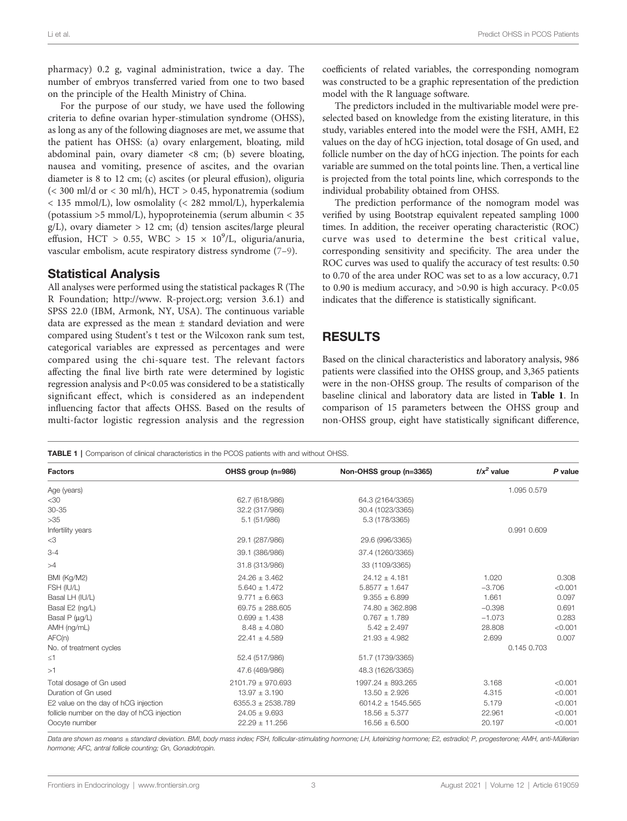<span id="page-2-0"></span>pharmacy) 0.2 g, vaginal administration, twice a day. The number of embryos transferred varied from one to two based on the principle of the Health Ministry of China.

For the purpose of our study, we have used the following criteria to define ovarian hyper-stimulation syndrome (OHSS), as long as any of the following diagnoses are met, we assume that the patient has OHSS: (a) ovary enlargement, bloating, mild abdominal pain, ovary diameter <8 cm; (b) severe bloating, nausea and vomiting, presence of ascites, and the ovarian diameter is 8 to 12 cm; (c) ascites (or pleural effusion), oliguria  $( $300 \text{ ml/d or} < 30 \text{ ml/h}$ ), HCT > 0.45, hyponatremia (sodium)$ < 135 mmol/L), low osmolality (< 282 mmol/L), hyperkalemia (potassium >5 mmol/L), hypoproteinemia (serum albumin < 35  $g/L$ ), ovary diameter > 12 cm; (d) tension ascites/large pleural effusion, HCT > 0.55, WBC >  $15 \times 10^9$ /L, oliguria/anuria, vascular embolism, acute respiratory distress syndrome [\(7](#page-7-0)–[9](#page-7-0)).

## Statistical Analysis

All analyses were performed using the statistical packages R (The R Foundation; [http://www. R-project.org;](http://www. R-project.org) version 3.6.1) and SPSS 22.0 (IBM, Armonk, NY, USA). The continuous variable data are expressed as the mean ± standard deviation and were compared using Student's t test or the Wilcoxon rank sum test, categorical variables are expressed as percentages and were compared using the chi-square test. The relevant factors affecting the final live birth rate were determined by logistic regression analysis and P<0.05 was considered to be a statistically significant effect, which is considered as an independent influencing factor that affects OHSS. Based on the results of multi-factor logistic regression analysis and the regression

coefficients of related variables, the corresponding nomogram was constructed to be a graphic representation of the prediction model with the R language software.

The predictors included in the multivariable model were preselected based on knowledge from the existing literature, in this study, variables entered into the model were the FSH, AMH, E2 values on the day of hCG injection, total dosage of Gn used, and follicle number on the day of hCG injection. The points for each variable are summed on the total points line. Then, a vertical line is projected from the total points line, which corresponds to the individual probability obtained from OHSS.

The prediction performance of the nomogram model was verified by using Bootstrap equivalent repeated sampling 1000 times. In addition, the receiver operating characteristic (ROC) curve was used to determine the best critical value, corresponding sensitivity and specificity. The area under the ROC curves was used to qualify the accuracy of test results: 0.50 to 0.70 of the area under ROC was set to as a low accuracy, 0.71 to 0.90 is medium accuracy, and >0.90 is high accuracy. P<0.05 indicates that the difference is statistically significant.

# RESULTS

Based on the clinical characteristics and laboratory analysis, 986 patients were classified into the OHSS group, and 3,365 patients were in the non-OHSS group. The results of comparison of the baseline clinical and laboratory data are listed in Table 1. In comparison of 15 parameters between the OHSS group and non-OHSS group, eight have statistically significant difference,

**TABLE 1** | Comparison of clinical characteristics in the PCOS patients with and without OHSS.

| <b>Factors</b>                              | OHSS group (n=986)    | Non-OHSS group (n=3365) | $t/x^2$ value | P value |
|---------------------------------------------|-----------------------|-------------------------|---------------|---------|
| Age (years)                                 |                       |                         | 1.095 0.579   |         |
| $<$ 30                                      | 62.7 (618/986)        | 64.3 (2164/3365)        |               |         |
| $30 - 35$                                   | 32.2 (317/986)        | 30.4 (1023/3365)        |               |         |
| $>35$                                       | 5.1 (51/986)          | 5.3 (178/3365)          |               |         |
| Infertility years                           |                       |                         | 0.991 0.609   |         |
| $<$ 3                                       | 29.1 (287/986)        | 29.6 (996/3365)         |               |         |
| $3 - 4$                                     | 39.1 (386/986)        | 37.4 (1260/3365)        |               |         |
| >4                                          | 31.8 (313/986)        | 33 (1109/3365)          |               |         |
| BMI (Kg/M2)                                 | $24.26 \pm 3.462$     | $24.12 \pm 4.181$       | 1.020         | 0.308   |
| FSH (IU/L)                                  | $5.640 \pm 1.472$     | $5.8577 \pm 1.647$      | $-3.706$      | < 0.001 |
| Basal LH (IU/L)                             | $9.771 \pm 6.663$     | $9.355 \pm 6.899$       | 1.661         | 0.097   |
| Basal E2 (ng/L)                             | $69.75 \pm 288.605$   | 74.80 ± 362.898         | $-0.398$      | 0.691   |
| Basal P (µg/L)                              | $0.699 \pm 1.438$     | $0.767 \pm 1.789$       | $-1.073$      | 0.283   |
| AMH (ng/mL)                                 | $8.48 \pm 4.080$      | $5.42 \pm 2.497$        | 28,808        | < 0.001 |
| AFC(n)                                      | $22.41 \pm 4.589$     | $21.93 \pm 4.982$       | 2.699         | 0.007   |
| No. of treatment cycles                     |                       |                         | 0.145 0.703   |         |
| $\leq 1$                                    | 52.4 (517/986)        | 51.7 (1739/3365)        |               |         |
| >1                                          | 47.6 (469/986)        | 48.3 (1626/3365)        |               |         |
| Total dosage of Gn used                     | $2101.79 \pm 970.693$ | 1997.24 ± 893.265       | 3.168         | < 0.001 |
| Duration of Gn used                         | $13.97 \pm 3.190$     | $13.50 \pm 2.926$       | 4.315         | < 0.001 |
| E2 value on the day of hCG injection        | $6355.3 \pm 2538.789$ | $6014.2 \pm 1545.565$   | 5.179         | < 0.001 |
| follicle number on the day of hCG injection | $24.05 \pm 9.693$     | $18.56 \pm 5.377$       | 22.961        | < 0.001 |
| Oocyte number                               | $22.29 \pm 11.256$    | $16.56 \pm 6.500$       | 20.197        | < 0.001 |
|                                             |                       |                         |               |         |

Data are shown as means ± standard deviation. BMI, body mass index; FSH, follicular-stimulating hormone; LH, luteinizing hormone; E2, estradiol; P, progesterone; AMH, anti-Müllerian hormone; AFC, antral follicle counting; Gn, Gonadotropin.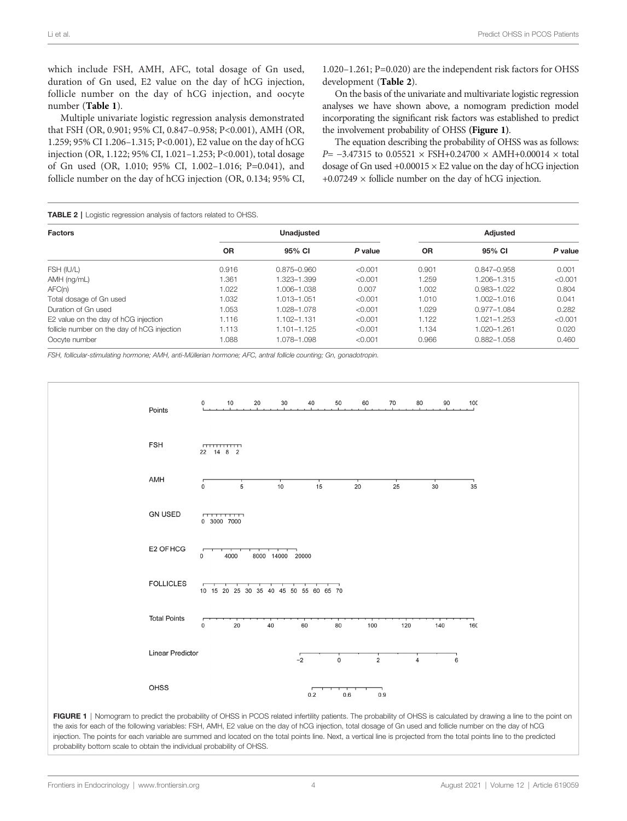which include FSH, AMH, AFC, total dosage of Gn used, duration of Gn used, E2 value on the day of hCG injection, follicle number on the day of hCG injection, and oocyte number ([Table 1](#page-2-0)).

Multiple univariate logistic regression analysis demonstrated that FSH (OR, 0.901; 95% CI, 0.847–0.958; P<0.001), AMH (OR, 1.259; 95% CI 1.206–1.315; P<0.001), E2 value on the day of hCG injection (OR, 1.122; 95% CI, 1.021–1.253; P<0.001), total dosage of Gn used (OR, 1.010; 95% CI, 1.002–1.016; P=0.041), and follicle number on the day of hCG injection (OR, 0.134; 95% CI,

1.020–1.261; P=0.020) are the independent risk factors for OHSS development (Table 2).

On the basis of the univariate and multivariate logistic regression analyses we have shown above, a nomogram prediction model incorporating the significant risk factors was established to predict the involvement probability of OHSS (Figure 1).

The equation describing the probability of OHSS was as follows: P= −3.47315 to 0.05521 × FSH+0.24700 × AMH+0.00014 × total dosage of Gn used  $+0.00015 \times E2$  value on the day of hCG injection  $+0.07249 \times$  follicle number on the day of hCG injection.

**TABLE 2** | Logistic regression analysis of factors related to OHSS.

| <b>Factors</b>                              | <b>Unadiusted</b> |                 |         | Adjusted  |                 |         |
|---------------------------------------------|-------------------|-----------------|---------|-----------|-----------------|---------|
|                                             | <b>OR</b>         | 95% CI          | P value | <b>OR</b> | 95% CI          | P value |
| FSH (IU/L)                                  | 0.916             | $0.875 - 0.960$ | < 0.001 | 0.901     | $0.847 - 0.958$ | 0.001   |
| AMH (ng/mL)                                 | 1.361             | 1.323-1.399     | < 0.001 | 1.259     | 1.206-1.315     | < 0.001 |
| AFC(n)                                      | 1.022             | 1.006-1.038     | 0.007   | 1.002     | 0.983-1.022     | 0.804   |
| Total dosage of Gn used                     | 1.032             | 1.013-1.051     | < 0.001 | 1.010     | 1.002-1.016     | 0.041   |
| Duration of Gn used                         | 1.053             | 1.028-1.078     | < 0.001 | 1.029     | $0.977 - 1.084$ | 0.282   |
| E2 value on the day of hCG injection        | 1.116             | 1.102-1.131     | < 0.001 | 1.122     | 1.021-1.253     | < 0.001 |
| follicle number on the day of hCG injection | 1.113             | $1.101 - 1.125$ | < 0.001 | 1.134     | 1.020-1.261     | 0.020   |
| Oocyte number                               | 1.088             | 1.078-1.098     | < 0.001 | 0.966     | $0.882 - 1.058$ | 0.460   |

FSH, follicular-stimulating hormone; AMH, anti-Müllerian hormone; AFC, antral follicle counting; Gn, gonadotropin.



FIGURE 1 | Nomogram to predict the probability of OHSS in PCOS related infertility patients. The probability of OHSS is calculated by drawing a line to the point on the axis for each of the following variables: FSH, AMH, E2 value on the day of hCG injection, total dosage of Gn used and follicle number on the day of hCG injection. The points for each variable are summed and located on the total points line. Next, a vertical line is projected from the total points line to the predicted probability bottom scale to obtain the individual probability of OHSS.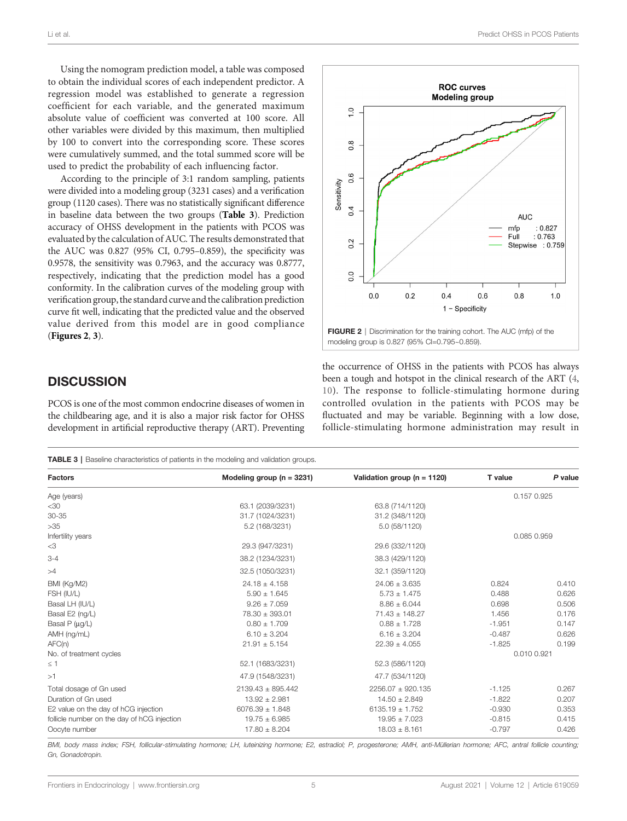Using the nomogram prediction model, a table was composed to obtain the individual scores of each independent predictor. A regression model was established to generate a regression coefficient for each variable, and the generated maximum absolute value of coefficient was converted at 100 score. All other variables were divided by this maximum, then multiplied by 100 to convert into the corresponding score. These scores were cumulatively summed, and the total summed score will be used to predict the probability of each influencing factor.

According to the principle of 3:1 random sampling, patients were divided into a modeling group (3231 cases) and a verification group (1120 cases). There was no statistically significant difference in baseline data between the two groups (Table 3). Prediction accuracy of OHSS development in the patients with PCOS was evaluated by the calculation of AUC. The results demonstrated that the AUC was 0.827 (95% CI, 0.795–0.859), the specificity was 0.9578, the sensitivity was 0.7963, and the accuracy was 0.8777, respectively, indicating that the prediction model has a good conformity. In the calibration curves of the modeling group with verification group, the standard curve and the calibration prediction curve fit well, indicating that the predicted value and the observed value derived from this model are in good compliance (Figures 2, [3](#page-5-0)).

# **DISCUSSION**

PCOS is one of the most common endocrine diseases of women in the childbearing age, and it is also a major risk factor for OHSS development in artificial reproductive therapy (ART). Preventing

Li et al. Predict OHSS in PCOS Patients



FIGURE 2 | Discrimination for the training cohort. The AUC (mfp) of the modeling group is 0.827 (95% CI=0.795~0.859).

the occurrence of OHSS in the patients with PCOS has always been a tough and hotspot in the clinical research of the ART [\(4,](#page-6-0) [10\)](#page-7-0). The response to follicle-stimulating hormone during controlled ovulation in the patients with PCOS may be fluctuated and may be variable. Beginning with a low dose, follicle-stimulating hormone administration may result in

TABLE 3 | Baseline characteristics of patients in the modeling and validation groups.

| <b>Factors</b>                              | Modeling group ( $n = 3231$ ) | Validation group ( $n = 1120$ ) | T value     | P value     |  |  |
|---------------------------------------------|-------------------------------|---------------------------------|-------------|-------------|--|--|
| Age (years)                                 |                               |                                 | 0.157 0.925 |             |  |  |
| $<$ 30                                      | 63.1 (2039/3231)              | 63.8 (714/1120)                 |             |             |  |  |
| $30 - 35$                                   | 31.7 (1024/3231)              | 31.2 (348/1120)                 |             |             |  |  |
| $>35$                                       | 5.2 (168/3231)                | 5.0 (58/1120)                   |             |             |  |  |
| Infertility years                           |                               |                                 |             | 0.085 0.959 |  |  |
| $<$ 3                                       | 29.3 (947/3231)               | 29.6 (332/1120)                 |             |             |  |  |
| $3 - 4$                                     | 38.2 (1234/3231)              | 38.3 (429/1120)                 |             |             |  |  |
| >4                                          | 32.5 (1050/3231)              | 32.1 (359/1120)                 |             |             |  |  |
| BMI (Kg/M2)                                 | $24.18 \pm 4.158$             | $24.06 \pm 3.635$               | 0.824       | 0.410       |  |  |
| FSH (IU/L)                                  | $5.90 \pm 1.645$              | $5.73 \pm 1.475$                | 0.488       | 0.626       |  |  |
| Basal LH (IU/L)                             | $9.26 \pm 7.059$              | $8.86 \pm 6.044$                | 0.698       | 0.506       |  |  |
| Basal E2 (ng/L)                             | 78.30 ± 393.01                | $71.43 \pm 148.27$              | 1.456       | 0.176       |  |  |
| Basal P (µg/L)                              | $0.80 \pm 1.709$              | $0.88 \pm 1.728$                | $-1.951$    | 0.147       |  |  |
| AMH (ng/mL)                                 | $6.10 \pm 3.204$              | $6.16 \pm 3.204$                | $-0.487$    | 0.626       |  |  |
| AFC(n)                                      | $21.91 \pm 5.154$             | $22.39 \pm 4.055$               | $-1.825$    | 0.199       |  |  |
| No. of treatment cycles                     |                               |                                 | 0.010 0.921 |             |  |  |
| $\leq$ 1                                    | 52.1 (1683/3231)              | 52.3 (586/1120)                 |             |             |  |  |
| >1                                          | 47.9 (1548/3231)              | 47.7 (534/1120)                 |             |             |  |  |
| Total dosage of Gn used                     | $2139.43 \pm 895.442$         | 2256.07 ± 920.135               | $-1.125$    | 0.267       |  |  |
| Duration of Gn used                         | $13.92 \pm 2.981$             | $14.50 \pm 2.849$               | $-1.822$    | 0.207       |  |  |
| E2 value on the day of hCG injection        | $6076.39 \pm 1.848$           | $6135.19 \pm 1.752$             | $-0.930$    | 0.353       |  |  |
| follicle number on the day of hCG injection | $19.75 \pm 6.985$             | $19.95 \pm 7.023$               | $-0.815$    | 0.415       |  |  |
| Oocyte number                               | $17.80 \pm 8.204$             | $18.03 \pm 8.161$               | $-0.797$    | 0.426       |  |  |
|                                             |                               |                                 |             |             |  |  |

BMI, body mass index; FSH, follicular-stimulating hormone; LH, luteinizing hormone; E2, estradiol; P, progesterone; AMH, anti-Müllerian hormone; AFC, antral follicle counting; Gn, Gonadotropin.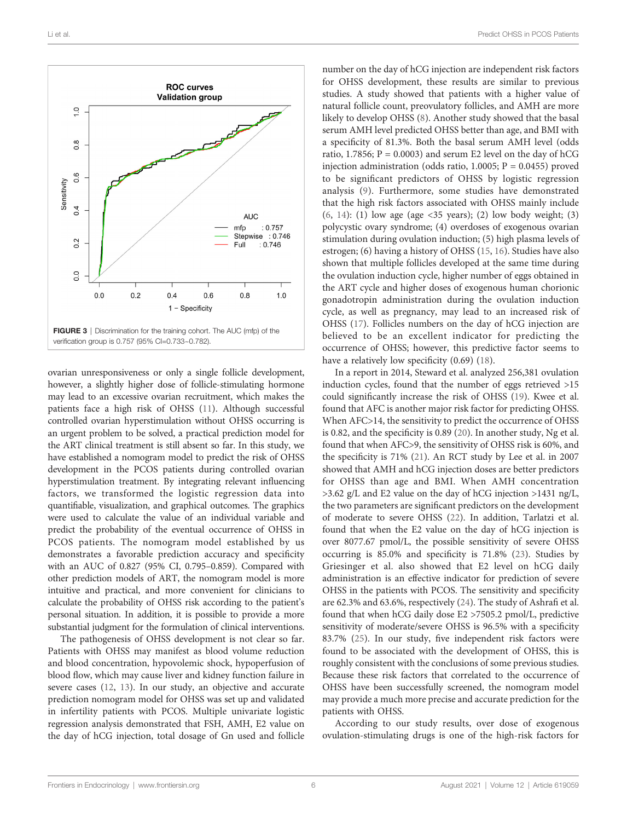<span id="page-5-0"></span>

ovarian unresponsiveness or only a single follicle development, however, a slightly higher dose of follicle-stimulating hormone may lead to an excessive ovarian recruitment, which makes the patients face a high risk of OHSS [\(11](#page-7-0)). Although successful controlled ovarian hyperstimulation without OHSS occurring is an urgent problem to be solved, a practical prediction model for the ART clinical treatment is still absent so far. In this study, we have established a nomogram model to predict the risk of OHSS development in the PCOS patients during controlled ovarian hyperstimulation treatment. By integrating relevant influencing factors, we transformed the logistic regression data into quantifiable, visualization, and graphical outcomes. The graphics were used to calculate the value of an individual variable and predict the probability of the eventual occurrence of OHSS in PCOS patients. The nomogram model established by us demonstrates a favorable prediction accuracy and specificity with an AUC of 0.827 (95% CI, 0.795–0.859). Compared with other prediction models of ART, the nomogram model is more intuitive and practical, and more convenient for clinicians to calculate the probability of OHSS risk according to the patient's personal situation. In addition, it is possible to provide a more substantial judgment for the formulation of clinical interventions.

The pathogenesis of OHSS development is not clear so far. Patients with OHSS may manifest as blood volume reduction and blood concentration, hypovolemic shock, hypoperfusion of blood flow, which may cause liver and kidney function failure in severe cases ([12,](#page-7-0) [13](#page-7-0)). In our study, an objective and accurate prediction nomogram model for OHSS was set up and validated in infertility patients with PCOS. Multiple univariate logistic regression analysis demonstrated that FSH, AMH, E2 value on the day of hCG injection, total dosage of Gn used and follicle

number on the day of hCG injection are independent risk factors for OHSS development, these results are similar to previous studies. A study showed that patients with a higher value of natural follicle count, preovulatory follicles, and AMH are more likely to develop OHSS [\(8\)](#page-7-0). Another study showed that the basal serum AMH level predicted OHSS better than age, and BMI with a specificity of 81.3%. Both the basal serum AMH level (odds ratio, 1.7856;  $P = 0.0003$ ) and serum E2 level on the day of hCG injection administration (odds ratio,  $1.0005$ ;  $P = 0.0455$ ) proved to be significant predictors of OHSS by logistic regression analysis ([9\)](#page-7-0). Furthermore, some studies have demonstrated that the high risk factors associated with OHSS mainly include [\(6,](#page-7-0) [14\)](#page-7-0): (1) low age (age <35 years); (2) low body weight; (3) polycystic ovary syndrome; (4) overdoses of exogenous ovarian stimulation during ovulation induction; (5) high plasma levels of estrogen; (6) having a history of OHSS [\(15](#page-7-0), [16\)](#page-7-0). Studies have also shown that multiple follicles developed at the same time during the ovulation induction cycle, higher number of eggs obtained in the ART cycle and higher doses of exogenous human chorionic gonadotropin administration during the ovulation induction cycle, as well as pregnancy, may lead to an increased risk of OHSS ([17\)](#page-7-0). Follicles numbers on the day of hCG injection are believed to be an excellent indicator for predicting the occurrence of OHSS; however, this predictive factor seems to have a relatively low specificity (0.69) ([18\)](#page-7-0).

In a report in 2014, Steward et al. analyzed 256,381 ovulation induction cycles, found that the number of eggs retrieved >15 could significantly increase the risk of OHSS ([19\)](#page-7-0). Kwee et al. found that AFC is another major risk factor for predicting OHSS. When AFC>14, the sensitivity to predict the occurrence of OHSS is 0.82, and the specificity is 0.89 [\(20\)](#page-7-0). In another study, Ng et al. found that when AFC>9, the sensitivity of OHSS risk is 60%, and the specificity is 71% ([21\)](#page-7-0). An RCT study by Lee et al. in 2007 showed that AMH and hCG injection doses are better predictors for OHSS than age and BMI. When AMH concentration >3.62 g/L and E2 value on the day of hCG injection >1431 ng/L, the two parameters are significant predictors on the development of moderate to severe OHSS ([22\)](#page-7-0). In addition, Tarlatzi et al. found that when the E2 value on the day of hCG injection is over 8077.67 pmol/L, the possible sensitivity of severe OHSS occurring is 85.0% and specificity is 71.8% [\(23\)](#page-7-0). Studies by Griesinger et al. also showed that E2 level on hCG daily administration is an effective indicator for prediction of severe OHSS in the patients with PCOS. The sensitivity and specificity are 62.3% and 63.6%, respectively [\(24](#page-7-0)). The study of Ashrafi et al. found that when hCG daily dose E2 >7505.2 pmol/L, predictive sensitivity of moderate/severe OHSS is 96.5% with a specificity 83.7% ([25\)](#page-7-0). In our study, five independent risk factors were found to be associated with the development of OHSS, this is roughly consistent with the conclusions of some previous studies. Because these risk factors that correlated to the occurrence of OHSS have been successfully screened, the nomogram model may provide a much more precise and accurate prediction for the patients with OHSS.

According to our study results, over dose of exogenous ovulation-stimulating drugs is one of the high-risk factors for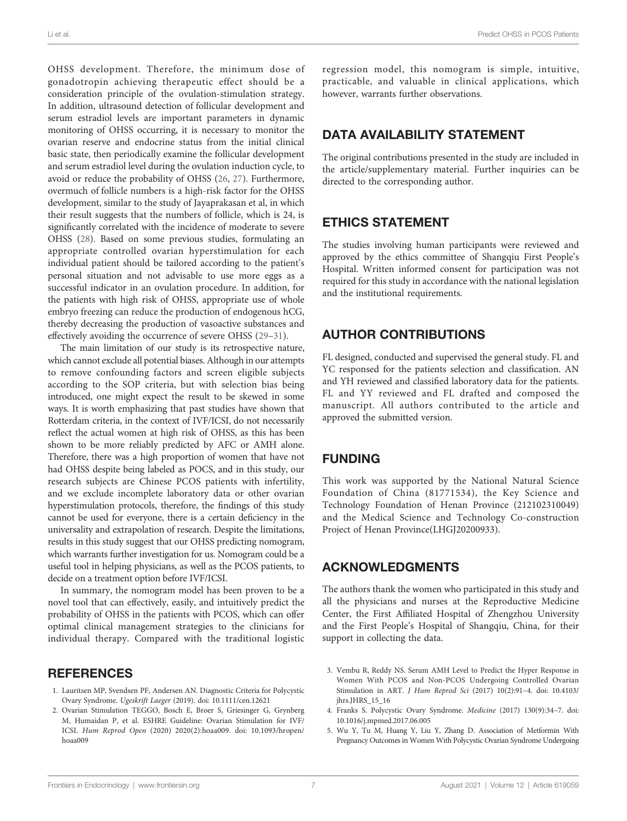<span id="page-6-0"></span>OHSS development. Therefore, the minimum dose of gonadotropin achieving therapeutic effect should be a consideration principle of the ovulation-stimulation strategy. In addition, ultrasound detection of follicular development and serum estradiol levels are important parameters in dynamic monitoring of OHSS occurring, it is necessary to monitor the ovarian reserve and endocrine status from the initial clinical basic state, then periodically examine the follicular development and serum estradiol level during the ovulation induction cycle, to avoid or reduce the probability of OHSS [\(26](#page-7-0), [27](#page-7-0)). Furthermore, overmuch of follicle numbers is a high-risk factor for the OHSS development, similar to the study of Jayaprakasan et al, in which their result suggests that the numbers of follicle, which is 24, is significantly correlated with the incidence of moderate to severe OHSS [\(28](#page-7-0)). Based on some previous studies, formulating an appropriate controlled ovarian hyperstimulation for each individual patient should be tailored according to the patient's personal situation and not advisable to use more eggs as a successful indicator in an ovulation procedure. In addition, for the patients with high risk of OHSS, appropriate use of whole embryo freezing can reduce the production of endogenous hCG, thereby decreasing the production of vasoactive substances and effectively avoiding the occurrence of severe OHSS ([29](#page-7-0)–[31\)](#page-7-0).

The main limitation of our study is its retrospective nature, which cannot exclude all potential biases. Although in our attempts to remove confounding factors and screen eligible subjects according to the SOP criteria, but with selection bias being introduced, one might expect the result to be skewed in some ways. It is worth emphasizing that past studies have shown that Rotterdam criteria, in the context of IVF/ICSI, do not necessarily reflect the actual women at high risk of OHSS, as this has been shown to be more reliably predicted by AFC or AMH alone. Therefore, there was a high proportion of women that have not had OHSS despite being labeled as POCS, and in this study, our research subjects are Chinese PCOS patients with infertility, and we exclude incomplete laboratory data or other ovarian hyperstimulation protocols, therefore, the findings of this study cannot be used for everyone, there is a certain deficiency in the universality and extrapolation of research. Despite the limitations, results in this study suggest that our OHSS predicting nomogram, which warrants further investigation for us. Nomogram could be a useful tool in helping physicians, as well as the PCOS patients, to decide on a treatment option before IVF/ICSI.

In summary, the nomogram model has been proven to be a novel tool that can effectively, easily, and intuitively predict the probability of OHSS in the patients with PCOS, which can offer optimal clinical management strategies to the clinicians for individual therapy. Compared with the traditional logistic

## **REFERENCES**

- 1. Lauritsen MP, Svendsen PF, Andersen AN. Diagnostic Criteria for Polycystic Ovary Syndrome. Ugeskrift Laeger (2019). doi: [10.1111/cen.12621](https://doi.org/10.1111/cen.12621)
- 2. Ovarian Stimulation TEGGO, Bosch E, Broer S, Griesinger G, Grynberg M, Humaidan P, et al. ESHRE Guideline: Ovarian Stimulation for IVF/ ICSI. Hum Reprod Open (2020) 2020(2):hoaa009. doi: [10.1093/hropen/](https://doi.org/10.1093/hropen/hoaa009) [hoaa009](https://doi.org/10.1093/hropen/hoaa009)

regression model, this nomogram is simple, intuitive, practicable, and valuable in clinical applications, which however, warrants further observations.

# DATA AVAILABILITY STATEMENT

The original contributions presented in the study are included in the article/supplementary material. Further inquiries can be directed to the corresponding author.

# ETHICS STATEMENT

The studies involving human participants were reviewed and approved by the ethics committee of Shangqiu First People's Hospital. Written informed consent for participation was not required for this study in accordance with the national legislation and the institutional requirements.

# AUTHOR CONTRIBUTIONS

FL designed, conducted and supervised the general study. FL and YC responsed for the patients selection and classification. AN and YH reviewed and classified laboratory data for the patients. FL and YY reviewed and FL drafted and composed the manuscript. All authors contributed to the article and approved the submitted version.

# FUNDING

This work was supported by the National Natural Science Foundation of China (81771534), the Key Science and Technology Foundation of Henan Province (212102310049) and the Medical Science and Technology Co-construction Project of Henan Province(LHGJ20200933).

# ACKNOWLEDGMENTS

The authors thank the women who participated in this study and all the physicians and nurses at the Reproductive Medicine Center, the First Affiliated Hospital of Zhengzhou University and the First People's Hospital of Shangqiu, China, for their support in collecting the data.

- 3. Vembu R, Reddy NS. Serum AMH Level to Predict the Hyper Response in Women With PCOS and Non-PCOS Undergoing Controlled Ovarian Stimulation in ART. J Hum Reprod Sci (2017) 10(2):91–4. doi: [10.4103/](https://doi.org/10.4103/jhrs.JHRS_15_16) [jhrs.JHRS\\_15\\_16](https://doi.org/10.4103/jhrs.JHRS_15_16)
- 4. Franks S. Polycystic Ovary Syndrome. Medicine (2017) 130(9):34–7. doi: [10.1016/j.mpmed.2017.06.005](https://doi.org/10.1016/j.mpmed.2017.06.005)
- 5. Wu Y, Tu M, Huang Y, Liu Y, Zhang D. Association of Metformin With Pregnancy Outcomes in Women With Polycystic Ovarian Syndrome Undergoing